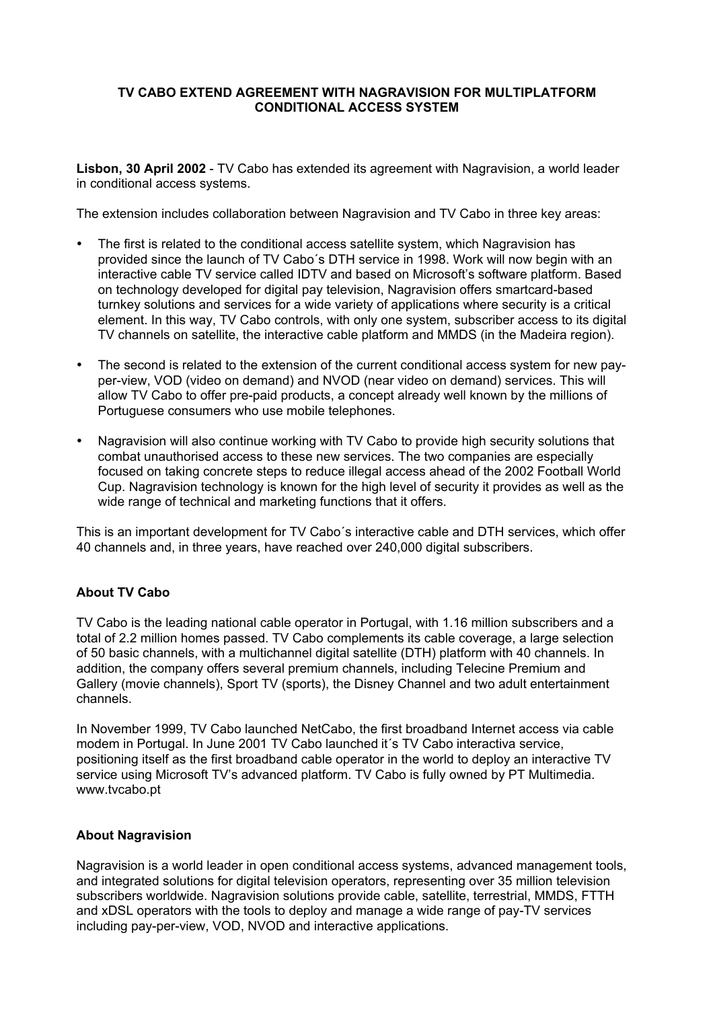## **TV CABO EXTEND AGREEMENT WITH NAGRAVISION FOR MULTIPLATFORM CONDITIONAL ACCESS SYSTEM**

**Lisbon, 30 April 2002** - TV Cabo has extended its agreement with Nagravision, a world leader in conditional access systems.

The extension includes collaboration between Nagravision and TV Cabo in three key areas:

The first is related to the conditional access satellite system, which Nagravision has provided since the launch of TV Cabo´s DTH service in 1998. Work will now begin with an interactive cable TV service called IDTV and based on Microsoft's software platform. Based on technology developed for digital pay television, Nagravision offers smartcard-based turnkey solutions and services for a wide variety of applications where security is a critical element. In this way, TV Cabo controls, with only one system, subscriber access to its digital TV channels on satellite, the interactive cable platform and MMDS (in the Madeira region).

The second is related to the extension of the current conditional access system for new payper-view, VOD (video on demand) and NVOD (near video on demand) services. This will allow TV Cabo to offer pre-paid products, a concept already well known by the millions of Portuguese consumers who use mobile telephones.

Nagravision will also continue working with TV Cabo to provide high security solutions that combat unauthorised access to these new services. The two companies are especially focused on taking concrete steps to reduce illegal access ahead of the 2002 Football World Cup. Nagravision technology is known for the high level of security it provides as well as the wide range of technical and marketing functions that it offers.

This is an important development for TV Cabo´s interactive cable and DTH services, which offer 40 channels and, in three years, have reached over 240,000 digital subscribers.

# **About TV Cabo**

TV Cabo is the leading national cable operator in Portugal, with 1.16 million subscribers and a total of 2.2 million homes passed. TV Cabo complements its cable coverage, a large selection of 50 basic channels, with a multichannel digital satellite (DTH) platform with 40 channels. In addition, the company offers several premium channels, including Telecine Premium and Gallery (movie channels), Sport TV (sports), the Disney Channel and two adult entertainment channels.

In November 1999, TV Cabo launched NetCabo, the first broadband Internet access via cable modem in Portugal. In June 2001 TV Cabo launched it´s TV Cabo interactiva service, positioning itself as the first broadband cable operator in the world to deploy an interactive TV service using Microsoft TV's advanced platform. TV Cabo is fully owned by PT Multimedia. www.tvcabo.pt

#### **About Nagravision**

Nagravision is a world leader in open conditional access systems, advanced management tools, and integrated solutions for digital television operators, representing over 35 million television subscribers worldwide. Nagravision solutions provide cable, satellite, terrestrial, MMDS, FTTH and xDSL operators with the tools to deploy and manage a wide range of pay-TV services including pay-per-view, VOD, NVOD and interactive applications.